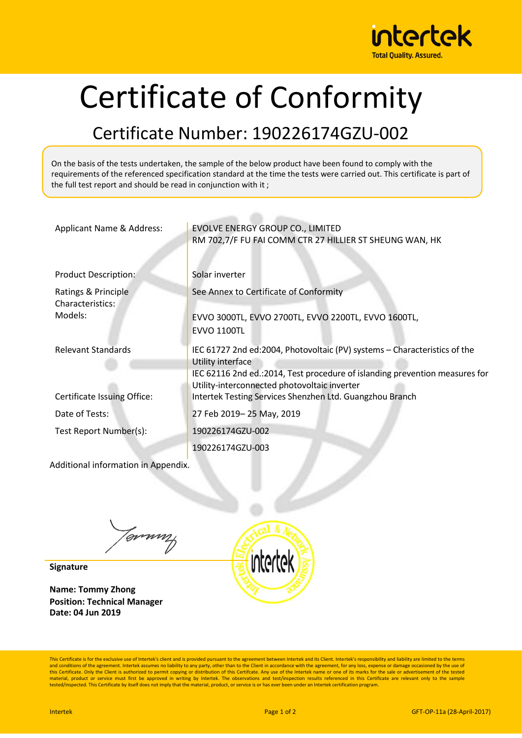

## Certificate of Conformity

## Certificate Number: 190226174GZU-002

On the basis of the tests undertaken, the sample of the below product have been found to comply with the requirements of the referenced specification standard at the time the tests were carried out. This certificate is part of the full test report and should be read in conjunction with it ;

| Applicant Name & Address:                                | EVOLVE ENERGY GROUP CO., LIMITED<br>RM 702,7/F FU FAI COMM CTR 27 HILLIER ST SHEUNG WAN, HK                                                                                                                                                                                                |
|----------------------------------------------------------|--------------------------------------------------------------------------------------------------------------------------------------------------------------------------------------------------------------------------------------------------------------------------------------------|
| <b>Product Description:</b>                              | Solar inverter                                                                                                                                                                                                                                                                             |
| Ratings & Principle<br>Characteristics:<br>Models:       | See Annex to Certificate of Conformity<br>EVVO 3000TL, EVVO 2700TL, EVVO 2200TL, EVVO 1600TL,<br><b>EVVO 1100TL</b>                                                                                                                                                                        |
| <b>Relevant Standards</b><br>Certificate Issuing Office: | IEC 61727 2nd ed:2004, Photovoltaic (PV) systems - Characteristics of the<br>Utility interface<br>IEC 62116 2nd ed.: 2014, Test procedure of islanding prevention measures for<br>Utility-interconnected photovoltaic inverter<br>Intertek Testing Services Shenzhen Ltd. Guangzhou Branch |
| Date of Tests:                                           | 27 Feb 2019-25 May, 2019                                                                                                                                                                                                                                                                   |
| Test Report Number(s):                                   | 190226174GZU-002                                                                                                                                                                                                                                                                           |
|                                                          | 190226174GZU-003                                                                                                                                                                                                                                                                           |
| Additional information in Appendix.                      |                                                                                                                                                                                                                                                                                            |

Tommy

**Signature**

**Name: Tommy Zhong Position: Technical Manager Date: 04 Jun 2019**



This Certificate is for the exclusive use of Intertek's client and is provided pursuant to the agreement between Intertek and its Client. Intertek's responsibility and liability are limited to the terms and conditions of the agreement. Intertek assumes no liability to any party, other than to the Client in accordance with the agreement, for any loss, expense or damage occasioned by the use of<br>this Certificate. Only the Cl material, product or service must first be approved in writing by Intertek. The observations and test/inspection results referenced in this Certificate are relevant only to the sample tested/inspected. This Certificate by itself does not imply that the material, product, or service is or has ever been under an Intertek certification program.